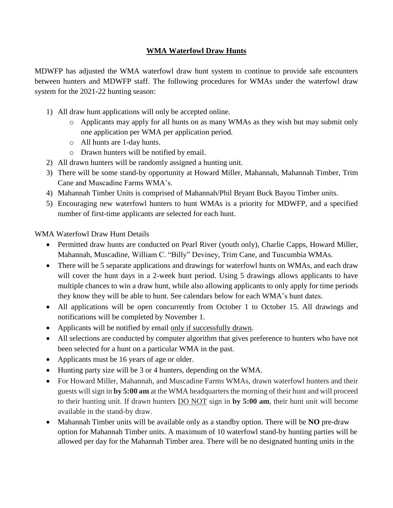## **WMA Waterfowl Draw Hunts**

MDWFP has adjusted the WMA waterfowl draw hunt system to continue to provide safe encounters between hunters and MDWFP staff. The following procedures for WMAs under the waterfowl draw system for the 2021-22 hunting season:

- 1) All draw hunt applications will only be accepted online.
	- o Applicants may apply for all hunts on as many WMAs as they wish but may submit only one application per WMA per application period.
	- o All hunts are 1-day hunts.
	- o Drawn hunters will be notified by email.
- 2) All drawn hunters will be randomly assigned a hunting unit.
- 3) There will be some stand-by opportunity at Howard Miller, Mahannah, Mahannah Timber, Trim Cane and Muscadine Farms WMA's.
- 4) Mahannah Timber Units is comprised of Mahannah/Phil Bryant Buck Bayou Timber units.
- 5) Encouraging new waterfowl hunters to hunt WMAs is a priority for MDWFP, and a specified number of first-time applicants are selected for each hunt.

WMA Waterfowl Draw Hunt Details

- Permitted draw hunts are conducted on Pearl River (youth only), Charlie Capps, Howard Miller, Mahannah, Muscadine, William C. "Billy" Deviney, Trim Cane, and Tuscumbia WMAs.
- There will be 5 separate applications and drawings for waterfowl hunts on WMAs, and each draw will cover the hunt days in a 2-week hunt period. Using 5 drawings allows applicants to have multiple chances to win a draw hunt, while also allowing applicants to only apply for time periods they know they will be able to hunt. See calendars below for each WMA's hunt dates.
- All applications will be open concurrently from October 1 to October 15. All drawings and notifications will be completed by November 1.
- Applicants will be notified by email only if successfully drawn.
- All selections are conducted by computer algorithm that gives preference to hunters who have not been selected for a hunt on a particular WMA in the past.
- Applicants must be 16 years of age or older.
- Hunting party size will be 3 or 4 hunters, depending on the WMA.
- For Howard Miller, Mahannah, and Muscadine Farms WMAs, drawn waterfowl hunters and their guests will sign in **by 5:00 am** at the WMA headquarters the morning of their hunt and will proceed to their hunting unit. If drawn hunters DO NOT sign in **by 5:00 am**, their hunt unit will become available in the stand-by draw.
- Mahannah Timber units will be available only as a standby option. There will be **NO** pre-draw option for Mahannah Timber units. A maximum of 10 waterfowl stand-by hunting parties will be allowed per day for the Mahannah Timber area. There will be no designated hunting units in the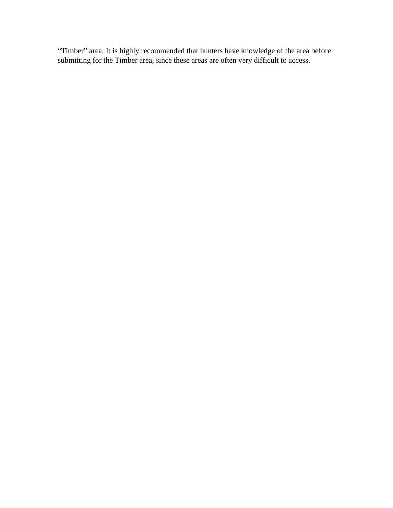"Timber" area. It is highly recommended that hunters have knowledge of the area before submitting for the Timber area, since these areas are often very difficult to access.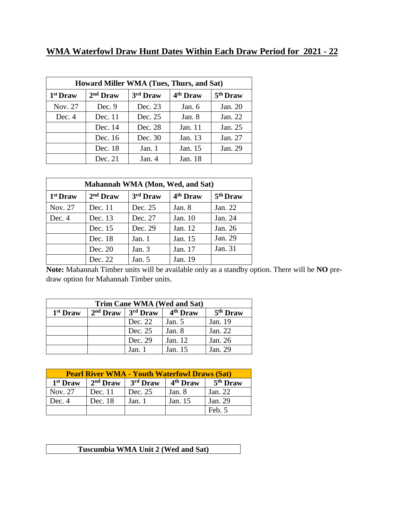## **WMA Waterfowl Draw Hunt Dates Within Each Draw Period for 2021 - 22**

| Howard Miller WMA (Tues, Thurs, and Sat) |            |          |                      |                      |
|------------------------------------------|------------|----------|----------------------|----------------------|
| 1 <sup>st</sup> Draw                     | $2nd$ Draw | 3rd Draw | 4 <sup>th</sup> Draw | 5 <sup>th</sup> Draw |
| Nov. 27                                  | Dec. $9$   | Dec. 23  | Jan. 6               | Jan. 20              |
| Dec. 4                                   | Dec. 11    | Dec. 25  | Jan. 8               | Jan. 22              |
|                                          | Dec. 14    | Dec. 28  | Jan. 11              | Jan. 25              |
|                                          | Dec. 16    | Dec. 30  | Jan. 13              | Jan. 27              |
|                                          | Dec. 18    | Jan. $1$ | Jan. 15              | Jan. 29              |
|                                          | Dec. 21    | Jan. $4$ | Jan. 18              |                      |

| Mahannah WMA (Mon, Wed, and Sat) |                                                                        |          |          |         |  |  |  |
|----------------------------------|------------------------------------------------------------------------|----------|----------|---------|--|--|--|
| 1 <sup>st</sup> Draw             | 3rd Draw<br>$2nd$ Draw<br>4 <sup>th</sup> Draw<br>5 <sup>th</sup> Draw |          |          |         |  |  |  |
| Nov. 27                          | Dec. 11                                                                | Dec. 25  | Jan. $8$ | Jan. 22 |  |  |  |
| Dec. $4$                         | Dec. 13                                                                | Dec. 27  | Jan. 10  | Jan. 24 |  |  |  |
|                                  | Dec. 15                                                                | Dec. 29  | Jan. 12  | Jan. 26 |  |  |  |
|                                  | Dec. 18                                                                | Jan. $1$ | Jan. 15  | Jan. 29 |  |  |  |
|                                  | Dec. 20                                                                | Jan. $3$ | Jan. 17  | Jan. 31 |  |  |  |
|                                  | Dec. 22                                                                | Jan. 5   | Jan. 19  |         |  |  |  |

**Note:** Mahannah Timber units will be available only as a standby option. There will be **NO** predraw option for Mahannah Timber units.

| Trim Cane WMA (Wed and Sat) |                                                                        |         |          |         |  |  |  |
|-----------------------------|------------------------------------------------------------------------|---------|----------|---------|--|--|--|
| 1 <sup>st</sup> Draw        | 3rd Draw<br>4 <sup>th</sup> Draw<br>$2nd$ Draw<br>5 <sup>th</sup> Draw |         |          |         |  |  |  |
|                             |                                                                        | Dec. 22 | Jan. $5$ | Jan. 19 |  |  |  |
|                             |                                                                        | Dec. 25 | Jan. 8   | Jan. 22 |  |  |  |
|                             |                                                                        | Dec. 29 | Jan. 12  | Jan. 26 |  |  |  |
|                             |                                                                        | Jan. 1  | Jan. 15  | Jan. 29 |  |  |  |

| <b>Pearl River WMA - Youth Waterfowl Draws (Sat)</b> |            |          |                      |                      |  |
|------------------------------------------------------|------------|----------|----------------------|----------------------|--|
| 1 <sup>st</sup> Draw                                 | $2nd$ Draw | 3rd Draw | 4 <sup>th</sup> Draw | 5 <sup>th</sup> Draw |  |
| Nov. 27                                              | Dec. $11$  | Dec. 25  | Jan. $8$             | Jan. 22              |  |
| Dec. $4$                                             | Dec. 18    | Jan. $1$ | Jan. 15              | Jan. 29              |  |
|                                                      |            |          |                      | Feb. 5               |  |

|  |  | Tuscumbia WMA Unit 2 (Wed and Sat) |
|--|--|------------------------------------|
|--|--|------------------------------------|